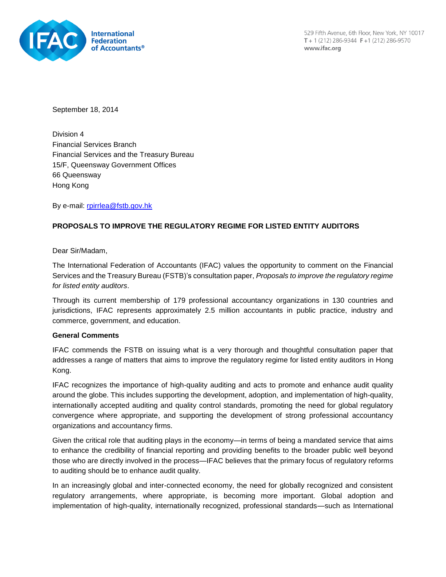

529 Fifth Avenue, 6th Floor, New York, NY 10017 T + 1 (212) 286-9344  $F+1$  (212) 286-9570 www.ifac.org

September 18, 2014

Division 4 Financial Services Branch Financial Services and the Treasury Bureau 15/F, Queensway Government Offices 66 Queensway Hong Kong

By e-mail: [rpirrlea@fstb.gov.hk](mailto:rpirrlea@fstb.gov.hk)

# **PROPOSALS TO IMPROVE THE REGULATORY REGIME FOR LISTED ENTITY AUDITORS**

Dear Sir/Madam,

The International Federation of Accountants (IFAC) values the opportunity to comment on the Financial Services and the Treasury Bureau (FSTB)'s consultation paper, *Proposals to improve the regulatory regime for listed entity auditors*.

Through its current membership of 179 professional accountancy organizations in 130 countries and jurisdictions, IFAC represents approximately 2.5 million accountants in public practice, industry and commerce, government, and education.

#### **General Comments**

IFAC commends the FSTB on issuing what is a very thorough and thoughtful consultation paper that addresses a range of matters that aims to improve the regulatory regime for listed entity auditors in Hong Kong.

IFAC recognizes the importance of high-quality auditing and acts to promote and enhance audit quality around the globe. This includes supporting the development, adoption, and implementation of high-quality, internationally accepted auditing and quality control standards, promoting the need for global regulatory convergence where appropriate, and supporting the development of strong professional accountancy organizations and accountancy firms.

Given the critical role that auditing plays in the economy—in terms of being a mandated service that aims to enhance the credibility of financial reporting and providing benefits to the broader public well beyond those who are directly involved in the process—IFAC believes that the primary focus of regulatory reforms to auditing should be to enhance audit quality.

In an increasingly global and inter-connected economy, the need for globally recognized and consistent regulatory arrangements, where appropriate, is becoming more important. Global adoption and implementation of high-quality, internationally recognized, professional standards—such as International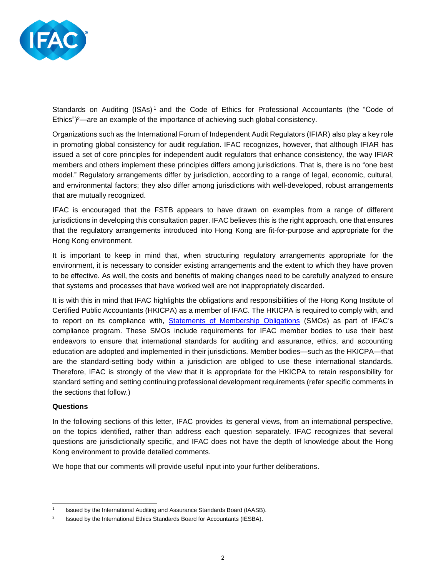

Standards on Auditing  $(ISAs)^1$  and the Code of Ethics for Professional Accountants (the "Code of Ethics")<sup>2</sup>—are an example of the importance of achieving such global consistency.

Organizations such as the International Forum of Independent Audit Regulators (IFIAR) also play a key role in promoting global consistency for audit regulation. IFAC recognizes, however, that although IFIAR has issued a set of core principles for independent audit regulators that enhance consistency, the way IFIAR members and others implement these principles differs among jurisdictions. That is, there is no "one best model." Regulatory arrangements differ by jurisdiction, according to a range of legal, economic, cultural, and environmental factors; they also differ among jurisdictions with well-developed, robust arrangements that are mutually recognized.

IFAC is encouraged that the FSTB appears to have drawn on examples from a range of different jurisdictions in developing this consultation paper. IFAC believes this is the right approach, one that ensures that the regulatory arrangements introduced into Hong Kong are fit-for-purpose and appropriate for the Hong Kong environment.

It is important to keep in mind that, when structuring regulatory arrangements appropriate for the environment, it is necessary to consider existing arrangements and the extent to which they have proven to be effective. As well, the costs and benefits of making changes need to be carefully analyzed to ensure that systems and processes that have worked well are not inappropriately discarded.

It is with this in mind that IFAC highlights the obligations and responsibilities of the Hong Kong Institute of Certified Public Accountants (HKICPA) as a member of IFAC. The HKICPA is required to comply with, and to report on its compliance with, [Statements of Membership Obligations](http://www.ifac.org/publications-resources/statements-membership-obligations-smos-1-7-revised) (SMOs) as part of IFAC's compliance program. These SMOs include requirements for IFAC member bodies to use their best endeavors to ensure that international standards for auditing and assurance, ethics, and accounting education are adopted and implemented in their jurisdictions. Member bodies—such as the HKICPA—that are the standard-setting body within a jurisdiction are obliged to use these international standards. Therefore, IFAC is strongly of the view that it is appropriate for the HKICPA to retain responsibility for standard setting and setting continuing professional development requirements (refer specific comments in the sections that follow.)

## **Questions**

In the following sections of this letter, IFAC provides its general views, from an international perspective, on the topics identified, rather than address each question separately. IFAC recognizes that several questions are jurisdictionally specific, and IFAC does not have the depth of knowledge about the Hong Kong environment to provide detailed comments.

We hope that our comments will provide useful input into your further deliberations.

 $\frac{1}{1}$ Issued by the International Auditing and Assurance Standards Board (IAASB).

<sup>2</sup> Issued by the International Ethics Standards Board for Accountants (IESBA).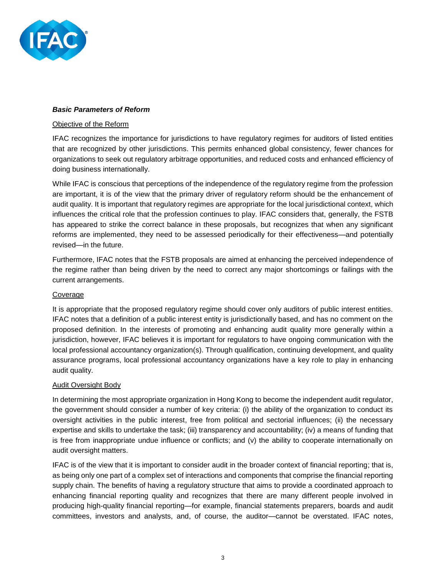

## *Basic Parameters of Reform*

### Objective of the Reform

IFAC recognizes the importance for jurisdictions to have regulatory regimes for auditors of listed entities that are recognized by other jurisdictions. This permits enhanced global consistency, fewer chances for organizations to seek out regulatory arbitrage opportunities, and reduced costs and enhanced efficiency of doing business internationally.

While IFAC is conscious that perceptions of the independence of the regulatory regime from the profession are important, it is of the view that the primary driver of regulatory reform should be the enhancement of audit quality. It is important that regulatory regimes are appropriate for the local jurisdictional context, which influences the critical role that the profession continues to play. IFAC considers that, generally, the FSTB has appeared to strike the correct balance in these proposals, but recognizes that when any significant reforms are implemented, they need to be assessed periodically for their effectiveness—and potentially revised—in the future.

Furthermore, IFAC notes that the FSTB proposals are aimed at enhancing the perceived independence of the regime rather than being driven by the need to correct any major shortcomings or failings with the current arrangements.

## Coverage

It is appropriate that the proposed regulatory regime should cover only auditors of public interest entities. IFAC notes that a definition of a public interest entity is jurisdictionally based, and has no comment on the proposed definition. In the interests of promoting and enhancing audit quality more generally within a jurisdiction, however, IFAC believes it is important for regulators to have ongoing communication with the local professional accountancy organization(s). Through qualification, continuing development, and quality assurance programs, local professional accountancy organizations have a key role to play in enhancing audit quality.

#### Audit Oversight Body

In determining the most appropriate organization in Hong Kong to become the independent audit regulator, the government should consider a number of key criteria: (i) the ability of the organization to conduct its oversight activities in the public interest, free from political and sectorial influences; (ii) the necessary expertise and skills to undertake the task; (iii) transparency and accountability; (iv) a means of funding that is free from inappropriate undue influence or conflicts; and (v) the ability to cooperate internationally on audit oversight matters.

IFAC is of the view that it is important to consider audit in the broader context of financial reporting; that is, as being only one part of a complex set of interactions and components that comprise the financial reporting supply chain. The benefits of having a regulatory structure that aims to provide a coordinated approach to enhancing financial reporting quality and recognizes that there are many different people involved in producing high-quality financial reporting—for example, financial statements preparers, boards and audit committees, investors and analysts, and, of course, the auditor—cannot be overstated. IFAC notes,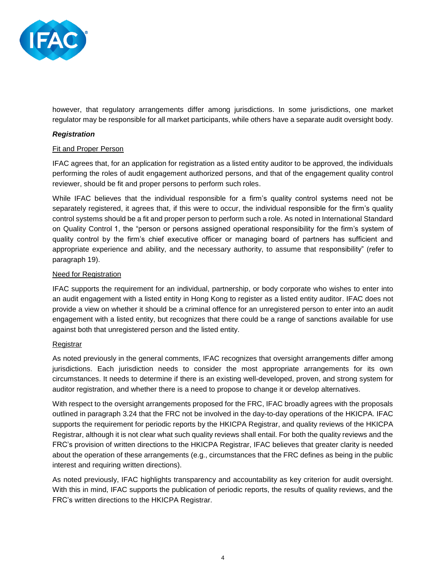

however, that regulatory arrangements differ among jurisdictions. In some jurisdictions, one market regulator may be responsible for all market participants, while others have a separate audit oversight body.

## *Registration*

### Fit and Proper Person

IFAC agrees that, for an application for registration as a listed entity auditor to be approved, the individuals performing the roles of audit engagement authorized persons, and that of the engagement quality control reviewer, should be fit and proper persons to perform such roles.

While IFAC believes that the individual responsible for a firm's quality control systems need not be separately registered, it agrees that, if this were to occur, the individual responsible for the firm's quality control systems should be a fit and proper person to perform such a role. As noted in International Standard on Quality Control 1, the "person or persons assigned operational responsibility for the firm's system of quality control by the firm's chief executive officer or managing board of partners has sufficient and appropriate experience and ability, and the necessary authority, to assume that responsibility" (refer to paragraph 19).

### Need for Registration

IFAC supports the requirement for an individual, partnership, or body corporate who wishes to enter into an audit engagement with a listed entity in Hong Kong to register as a listed entity auditor. IFAC does not provide a view on whether it should be a criminal offence for an unregistered person to enter into an audit engagement with a listed entity, but recognizes that there could be a range of sanctions available for use against both that unregistered person and the listed entity.

## **Registrar**

As noted previously in the general comments, IFAC recognizes that oversight arrangements differ among jurisdictions. Each jurisdiction needs to consider the most appropriate arrangements for its own circumstances. It needs to determine if there is an existing well-developed, proven, and strong system for auditor registration, and whether there is a need to propose to change it or develop alternatives.

With respect to the oversight arrangements proposed for the FRC, IFAC broadly agrees with the proposals outlined in paragraph 3.24 that the FRC not be involved in the day-to-day operations of the HKICPA. IFAC supports the requirement for periodic reports by the HKICPA Registrar, and quality reviews of the HKICPA Registrar, although it is not clear what such quality reviews shall entail. For both the quality reviews and the FRC's provision of written directions to the HKICPA Registrar, IFAC believes that greater clarity is needed about the operation of these arrangements (e.g., circumstances that the FRC defines as being in the public interest and requiring written directions).

As noted previously, IFAC highlights transparency and accountability as key criterion for audit oversight. With this in mind, IFAC supports the publication of periodic reports, the results of quality reviews, and the FRC's written directions to the HKICPA Registrar.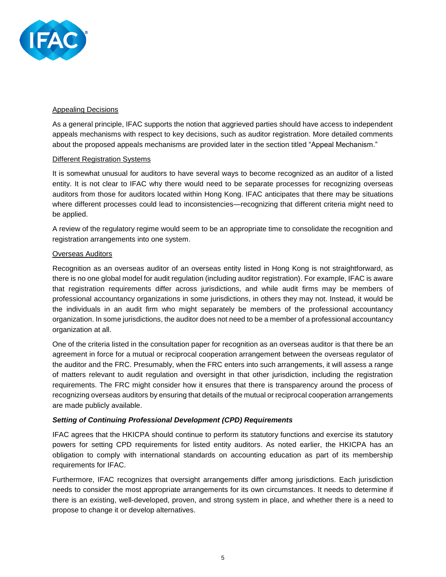

## Appealing Decisions

As a general principle, IFAC supports the notion that aggrieved parties should have access to independent appeals mechanisms with respect to key decisions, such as auditor registration. More detailed comments about the proposed appeals mechanisms are provided later in the section titled "Appeal Mechanism."

### Different Registration Systems

It is somewhat unusual for auditors to have several ways to become recognized as an auditor of a listed entity. It is not clear to IFAC why there would need to be separate processes for recognizing overseas auditors from those for auditors located within Hong Kong. IFAC anticipates that there may be situations where different processes could lead to inconsistencies—recognizing that different criteria might need to be applied.

A review of the regulatory regime would seem to be an appropriate time to consolidate the recognition and registration arrangements into one system.

### Overseas Auditors

Recognition as an overseas auditor of an overseas entity listed in Hong Kong is not straightforward, as there is no one global model for audit regulation (including auditor registration). For example, IFAC is aware that registration requirements differ across jurisdictions, and while audit firms may be members of professional accountancy organizations in some jurisdictions, in others they may not. Instead, it would be the individuals in an audit firm who might separately be members of the professional accountancy organization. In some jurisdictions, the auditor does not need to be a member of a professional accountancy organization at all.

One of the criteria listed in the consultation paper for recognition as an overseas auditor is that there be an agreement in force for a mutual or reciprocal cooperation arrangement between the overseas regulator of the auditor and the FRC. Presumably, when the FRC enters into such arrangements, it will assess a range of matters relevant to audit regulation and oversight in that other jurisdiction, including the registration requirements. The FRC might consider how it ensures that there is transparency around the process of recognizing overseas auditors by ensuring that details of the mutual or reciprocal cooperation arrangements are made publicly available.

## *Setting of Continuing Professional Development (CPD) Requirements*

IFAC agrees that the HKICPA should continue to perform its statutory functions and exercise its statutory powers for setting CPD requirements for listed entity auditors. As noted earlier, the HKICPA has an obligation to comply with international standards on accounting education as part of its membership requirements for IFAC.

Furthermore, IFAC recognizes that oversight arrangements differ among jurisdictions. Each jurisdiction needs to consider the most appropriate arrangements for its own circumstances. It needs to determine if there is an existing, well-developed, proven, and strong system in place, and whether there is a need to propose to change it or develop alternatives.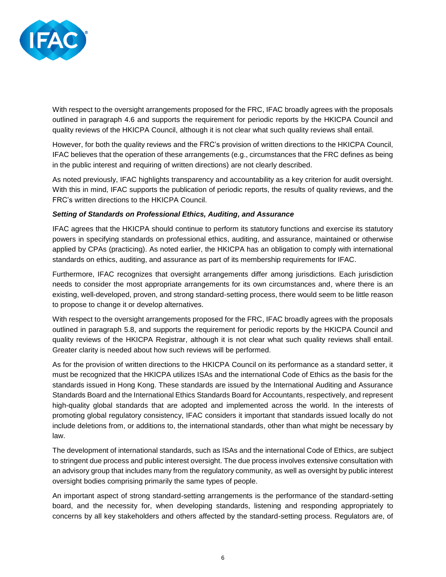

With respect to the oversight arrangements proposed for the FRC, IFAC broadly agrees with the proposals outlined in paragraph 4.6 and supports the requirement for periodic reports by the HKICPA Council and quality reviews of the HKICPA Council, although it is not clear what such quality reviews shall entail.

However, for both the quality reviews and the FRC's provision of written directions to the HKICPA Council, IFAC believes that the operation of these arrangements (e.g., circumstances that the FRC defines as being in the public interest and requiring of written directions) are not clearly described.

As noted previously, IFAC highlights transparency and accountability as a key criterion for audit oversight. With this in mind, IFAC supports the publication of periodic reports, the results of quality reviews, and the FRC's written directions to the HKICPA Council.

## *Setting of Standards on Professional Ethics, Auditing, and Assurance*

IFAC agrees that the HKICPA should continue to perform its statutory functions and exercise its statutory powers in specifying standards on professional ethics, auditing, and assurance, maintained or otherwise applied by CPAs (practicing). As noted earlier, the HKICPA has an obligation to comply with international standards on ethics, auditing, and assurance as part of its membership requirements for IFAC.

Furthermore, IFAC recognizes that oversight arrangements differ among jurisdictions. Each jurisdiction needs to consider the most appropriate arrangements for its own circumstances and, where there is an existing, well-developed, proven, and strong standard-setting process, there would seem to be little reason to propose to change it or develop alternatives.

With respect to the oversight arrangements proposed for the FRC, IFAC broadly agrees with the proposals outlined in paragraph 5.8, and supports the requirement for periodic reports by the HKICPA Council and quality reviews of the HKICPA Registrar, although it is not clear what such quality reviews shall entail. Greater clarity is needed about how such reviews will be performed.

As for the provision of written directions to the HKICPA Council on its performance as a standard setter, it must be recognized that the HKICPA utilizes ISAs and the international Code of Ethics as the basis for the standards issued in Hong Kong. These standards are issued by the International Auditing and Assurance Standards Board and the International Ethics Standards Board for Accountants, respectively, and represent high-quality global standards that are adopted and implemented across the world. In the interests of promoting global regulatory consistency, IFAC considers it important that standards issued locally do not include deletions from, or additions to, the international standards, other than what might be necessary by law.

The development of international standards, such as ISAs and the international Code of Ethics, are subject to stringent due process and public interest oversight. The due process involves extensive consultation with an advisory group that includes many from the regulatory community, as well as oversight by public interest oversight bodies comprising primarily the same types of people.

An important aspect of strong standard-setting arrangements is the performance of the standard-setting board, and the necessity for, when developing standards, listening and responding appropriately to concerns by all key stakeholders and others affected by the standard-setting process. Regulators are, of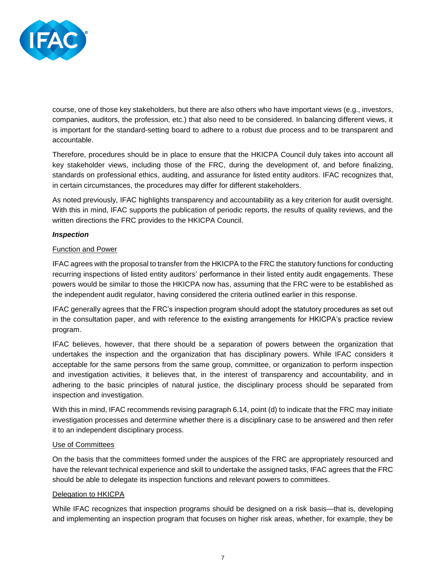

course, one of those key stakeholders, but there are also others who have important views (e.g., investors, companies, auditors, the profession, etc.) that also need to be considered. In balancing different views, it is important for the standard-setting board to adhere to a robust due process and to be transparent and accountable.

Therefore, procedures should be in place to ensure that the HKICPA Council duly takes into account all key stakeholder views, including those of the FRC, during the development of, and before finalizing, standards on professional ethics, auditing, and assurance for listed entity auditors. IFAC recognizes that, in certain circumstances, the procedures may differ for different stakeholders.

As noted previously, IFAC highlights transparency and accountability as a key criterion for audit oversight. With this in mind, IFAC supports the publication of periodic reports, the results of quality reviews, and the written directions the FRC provides to the HKICPA Council.

## *Inspection*

### Function and Power

IFAC agrees with the proposal to transfer from the HKICPA to the FRC the statutory functions for conducting recurring inspections of listed entity auditors' performance in their listed entity audit engagements. These powers would be similar to those the HKICPA now has, assuming that the FRC were to be established as the independent audit regulator, having considered the criteria outlined earlier in this response.

IFAC generally agrees that the FRC's inspection program should adopt the statutory procedures as set out in the consultation paper, and with reference to the existing arrangements for HKICPA's practice review program.

IFAC believes, however, that there should be a separation of powers between the organization that undertakes the inspection and the organization that has disciplinary powers. While IFAC considers it acceptable for the same persons from the same group, committee, or organization to perform inspection and investigation activities, it believes that, in the interest of transparency and accountability, and in adhering to the basic principles of natural justice, the disciplinary process should be separated from inspection and investigation.

With this in mind, IFAC recommends revising paragraph 6.14, point (d) to indicate that the FRC may initiate investigation processes and determine whether there is a disciplinary case to be answered and then refer it to an independent disciplinary process.

#### Use of Committees

On the basis that the committees formed under the auspices of the FRC are appropriately resourced and have the relevant technical experience and skill to undertake the assigned tasks, IFAC agrees that the FRC should be able to delegate its inspection functions and relevant powers to committees.

## Delegation to HKICPA

While IFAC recognizes that inspection programs should be designed on a risk basis—that is, developing and implementing an inspection program that focuses on higher risk areas, whether, for example, they be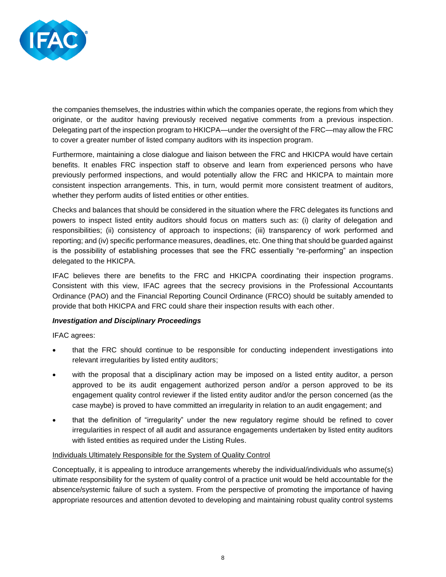

the companies themselves, the industries within which the companies operate, the regions from which they originate, or the auditor having previously received negative comments from a previous inspection. Delegating part of the inspection program to HKICPA—under the oversight of the FRC—may allow the FRC to cover a greater number of listed company auditors with its inspection program.

Furthermore, maintaining a close dialogue and liaison between the FRC and HKICPA would have certain benefits. It enables FRC inspection staff to observe and learn from experienced persons who have previously performed inspections, and would potentially allow the FRC and HKICPA to maintain more consistent inspection arrangements. This, in turn, would permit more consistent treatment of auditors, whether they perform audits of listed entities or other entities.

Checks and balances that should be considered in the situation where the FRC delegates its functions and powers to inspect listed entity auditors should focus on matters such as: (i) clarity of delegation and responsibilities; (ii) consistency of approach to inspections; (iii) transparency of work performed and reporting; and (iv) specific performance measures, deadlines, etc. One thing that should be guarded against is the possibility of establishing processes that see the FRC essentially "re-performing" an inspection delegated to the HKICPA.

IFAC believes there are benefits to the FRC and HKICPA coordinating their inspection programs. Consistent with this view, IFAC agrees that the secrecy provisions in the Professional Accountants Ordinance (PAO) and the Financial Reporting Council Ordinance (FRCO) should be suitably amended to provide that both HKICPA and FRC could share their inspection results with each other.

## *Investigation and Disciplinary Proceedings*

IFAC agrees:

- that the FRC should continue to be responsible for conducting independent investigations into relevant irregularities by listed entity auditors;
- with the proposal that a disciplinary action may be imposed on a listed entity auditor, a person approved to be its audit engagement authorized person and/or a person approved to be its engagement quality control reviewer if the listed entity auditor and/or the person concerned (as the case maybe) is proved to have committed an irregularity in relation to an audit engagement; and
- that the definition of "irregularity" under the new regulatory regime should be refined to cover irregularities in respect of all audit and assurance engagements undertaken by listed entity auditors with listed entities as required under the Listing Rules.

## Individuals Ultimately Responsible for the System of Quality Control

Conceptually, it is appealing to introduce arrangements whereby the individual/individuals who assume(s) ultimate responsibility for the system of quality control of a practice unit would be held accountable for the absence/systemic failure of such a system. From the perspective of promoting the importance of having appropriate resources and attention devoted to developing and maintaining robust quality control systems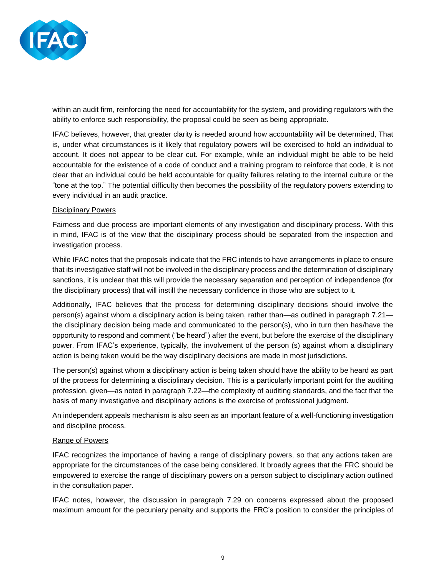

within an audit firm, reinforcing the need for accountability for the system, and providing regulators with the ability to enforce such responsibility, the proposal could be seen as being appropriate.

IFAC believes, however, that greater clarity is needed around how accountability will be determined, That is, under what circumstances is it likely that regulatory powers will be exercised to hold an individual to account. It does not appear to be clear cut. For example, while an individual might be able to be held accountable for the existence of a code of conduct and a training program to reinforce that code, it is not clear that an individual could be held accountable for quality failures relating to the internal culture or the "tone at the top." The potential difficulty then becomes the possibility of the regulatory powers extending to every individual in an audit practice.

### Disciplinary Powers

Fairness and due process are important elements of any investigation and disciplinary process. With this in mind, IFAC is of the view that the disciplinary process should be separated from the inspection and investigation process.

While IFAC notes that the proposals indicate that the FRC intends to have arrangements in place to ensure that its investigative staff will not be involved in the disciplinary process and the determination of disciplinary sanctions, it is unclear that this will provide the necessary separation and perception of independence (for the disciplinary process) that will instill the necessary confidence in those who are subject to it.

Additionally, IFAC believes that the process for determining disciplinary decisions should involve the person(s) against whom a disciplinary action is being taken, rather than—as outlined in paragraph 7.21 the disciplinary decision being made and communicated to the person(s), who in turn then has/have the opportunity to respond and comment ("be heard") after the event, but before the exercise of the disciplinary power. From IFAC's experience, typically, the involvement of the person (s) against whom a disciplinary action is being taken would be the way disciplinary decisions are made in most jurisdictions.

The person(s) against whom a disciplinary action is being taken should have the ability to be heard as part of the process for determining a disciplinary decision. This is a particularly important point for the auditing profession, given—as noted in paragraph 7.22—the complexity of auditing standards, and the fact that the basis of many investigative and disciplinary actions is the exercise of professional judgment.

An independent appeals mechanism is also seen as an important feature of a well-functioning investigation and discipline process.

## Range of Powers

IFAC recognizes the importance of having a range of disciplinary powers, so that any actions taken are appropriate for the circumstances of the case being considered. It broadly agrees that the FRC should be empowered to exercise the range of disciplinary powers on a person subject to disciplinary action outlined in the consultation paper.

IFAC notes, however, the discussion in paragraph 7.29 on concerns expressed about the proposed maximum amount for the pecuniary penalty and supports the FRC's position to consider the principles of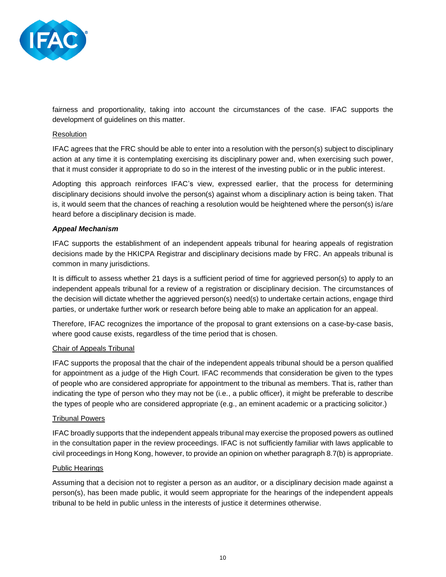

fairness and proportionality, taking into account the circumstances of the case. IFAC supports the development of guidelines on this matter.

### Resolution

IFAC agrees that the FRC should be able to enter into a resolution with the person(s) subject to disciplinary action at any time it is contemplating exercising its disciplinary power and, when exercising such power, that it must consider it appropriate to do so in the interest of the investing public or in the public interest.

Adopting this approach reinforces IFAC's view, expressed earlier, that the process for determining disciplinary decisions should involve the person(s) against whom a disciplinary action is being taken. That is, it would seem that the chances of reaching a resolution would be heightened where the person(s) is/are heard before a disciplinary decision is made.

### *Appeal Mechanism*

IFAC supports the establishment of an independent appeals tribunal for hearing appeals of registration decisions made by the HKICPA Registrar and disciplinary decisions made by FRC. An appeals tribunal is common in many jurisdictions.

It is difficult to assess whether 21 days is a sufficient period of time for aggrieved person(s) to apply to an independent appeals tribunal for a review of a registration or disciplinary decision. The circumstances of the decision will dictate whether the aggrieved person(s) need(s) to undertake certain actions, engage third parties, or undertake further work or research before being able to make an application for an appeal.

Therefore, IFAC recognizes the importance of the proposal to grant extensions on a case-by-case basis, where good cause exists, regardless of the time period that is chosen.

#### Chair of Appeals Tribunal

IFAC supports the proposal that the chair of the independent appeals tribunal should be a person qualified for appointment as a judge of the High Court. IFAC recommends that consideration be given to the types of people who are considered appropriate for appointment to the tribunal as members. That is, rather than indicating the type of person who they may not be (i.e., a public officer), it might be preferable to describe the types of people who are considered appropriate (e.g., an eminent academic or a practicing solicitor.)

#### Tribunal Powers

IFAC broadly supports that the independent appeals tribunal may exercise the proposed powers as outlined in the consultation paper in the review proceedings. IFAC is not sufficiently familiar with laws applicable to civil proceedings in Hong Kong, however, to provide an opinion on whether paragraph 8.7(b) is appropriate.

#### Public Hearings

Assuming that a decision not to register a person as an auditor, or a disciplinary decision made against a person(s), has been made public, it would seem appropriate for the hearings of the independent appeals tribunal to be held in public unless in the interests of justice it determines otherwise.